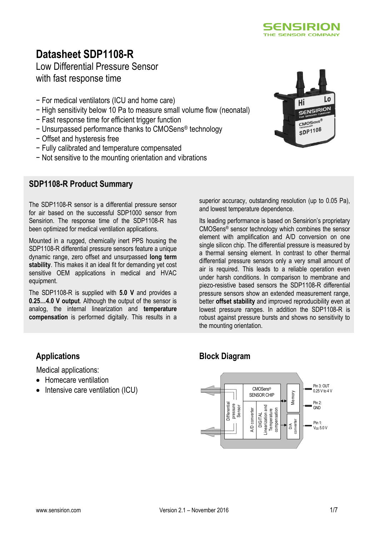

Hi

SENSIRION

CMOSENS<sup>®</sup>  $SDP1108$ 

# **Datasheet SDP1108-R**

Low Differential Pressure Sensor with fast response time

- − For medical ventilators (ICU and home care)
- − High sensitivity below 10 Pa to measure small volume flow (neonatal)
- − Fast response time for efficient trigger function
- − Unsurpassed performance thanks to CMOSens® technology
- − Offset and hysteresis free
- − Fully calibrated and temperature compensated
- − Not sensitive to the mounting orientation and vibrations



The SDP1108-R sensor is a differential pressure sensor for air based on the successful SDP1000 sensor from Sensirion. The response time of the SDP1108-R has been optimized for medical ventilation applications.

Mounted in a rugged, chemically inert PPS housing the SDP1108-R differential pressure sensors feature a unique dynamic range, zero offset and unsurpassed **long term stability**. This makes it an ideal fit for demanding yet cost sensitive OEM applications in medical and HVAC equipment.

The SDP1108-R is supplied with **5.0 V** and provides a **0.25…4.0 V output**. Although the output of the sensor is analog, the internal linearization and **temperature compensation** is performed digitally. This results in a

superior accuracy, outstanding resolution (up to 0.05 Pa), and lowest temperature dependence.

Its leading performance is based on Sensirion's proprietary CMOSens® sensor technology which combines the sensor element with amplification and A/D conversion on one single silicon chip. The differential pressure is measured by a thermal sensing element. In contrast to other thermal differential pressure sensors only a very small amount of air is required. This leads to a reliable operation even under harsh conditions. In comparison to membrane and piezo-resistive based sensors the SDP1108-R differential pressure sensors show an extended measurement range, better **offset stability** and improved reproducibility even at lowest pressure ranges. In addition the SDP1108-R is robust against pressure bursts and shows no sensitivity to the mounting orientation.

### **Applications**

Medical applications:

- Homecare ventilation
- Intensive care ventilation (ICU)

### **Block Diagram**

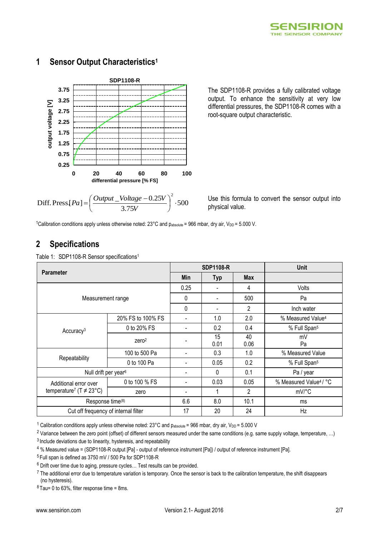



## **1 Sensor Output Characteristics<sup>1</sup>**

The SDP1108-R provides a fully calibrated voltage output. To enhance the sensitivity at very low differential pressures, the SDP1108-R comes with a root-square output characteristic.

Use this formula to convert the sensor output into physical value.

<sup>1</sup>Calibration conditions apply unless otherwise noted: 23°C and p<sub>absolute</sub> = 966 mbar, dry air, V<sub>DD</sub> = 5.000 V.

### **2 Specifications**

Table 1: SDP1108-R Sensor specifications<sup>1</sup>

| <b>Parameter</b>                                                  |                   | <b>SDP1108-R</b>             |                          |                | Unit                               |
|-------------------------------------------------------------------|-------------------|------------------------------|--------------------------|----------------|------------------------------------|
|                                                                   |                   | <b>Min</b>                   | <b>Typ</b>               | <b>Max</b>     |                                    |
|                                                                   | 0.25              | $\qquad \qquad \blacksquare$ | 4                        | Volts          |                                    |
| Measurement range                                                 |                   | 0                            | $\blacksquare$           | 500            | Pa                                 |
|                                                                   |                   | 0                            | $\overline{\phantom{a}}$ | $\mathfrak{p}$ | Inch water                         |
|                                                                   | 20% FS to 100% FS |                              | 1.0                      | 2.0            | % Measured Value <sup>4</sup>      |
| Accuracy <sup>3</sup>                                             | 0 to 20% FS       |                              |                          | 0.4            | % Full Span <sup>5</sup>           |
|                                                                   | zero <sup>2</sup> |                              | 15<br>0.01               | 40<br>0.06     | mV<br>Pa                           |
| Repeatability                                                     | 100 to 500 Pa     |                              | 0.3                      | 1.0            | % Measured Value                   |
|                                                                   | 0 to 100 Pa       | $\overline{a}$               | 0.05                     | 0.2            | % Full Span <sup>5</sup>           |
| Null drift per year <sup>6</sup>                                  |                   |                              | 0                        | 0.1            | Pa / year                          |
| Additional error over<br>temperature <sup>7</sup> (T $\neq$ 23°C) | 0 to 100 % FS     | $\overline{\phantom{a}}$     | 0.03                     | 0.05           | % Measured Value <sup>4</sup> / °C |
|                                                                   | zero              | $\blacksquare$               | 1                        | 2              | mV/°C                              |
| Response time <sup>(8)</sup>                                      |                   | 6.6                          | 8.0                      | 10.1           | ms                                 |
| Cut off frequency of internal filter                              |                   | 17                           | 20                       | 24             | Hz                                 |

<sup>1</sup> Calibration conditions apply unless otherwise noted:  $23^{\circ}$ C and pabsolute = 966 mbar, dry air, V<sub>DD</sub> = 5.000 V

<sup>2</sup> Variance between the zero point (offset) of different sensors measured under the same conditions (e.g. same supply voltage, temperature, ...)  $3$  Include deviations due to linearity, hysteresis, and repeatability

<sup>4</sup> % Measured value = (SDP1108-R output [Pa] - output of reference instrument [Pa]) / output of reference instrument [Pa].

<sup>5</sup> Full span is defined as 3750 mV / 500 Pa for SDP1108-R

 $6$  Drift over time due to aging, pressure cycles... Test results can be provided.

 $^7$  The additional error due to temperature variation is temporary. Once the sensor is back to the calibration temperature, the shift disappears (no hysteresis).

 $8$  Tau= 0 to 63%, filter response time = 8ms.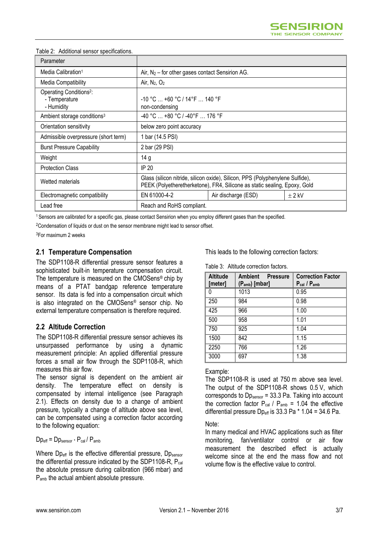| Parameter                                                          |                                                                   |                                                                                                                                                            |            |  |
|--------------------------------------------------------------------|-------------------------------------------------------------------|------------------------------------------------------------------------------------------------------------------------------------------------------------|------------|--|
| Media Calibration <sup>1</sup>                                     | Air, $N_2$ – for other gases contact Sensirion AG.                |                                                                                                                                                            |            |  |
| Media Compatibility                                                | Air, $N_2$ , $O_2$                                                |                                                                                                                                                            |            |  |
| Operating Conditions <sup>2</sup> :<br>- Temperature<br>- Humidity | $-10$ °C $\ldots$ +60 °C / 14°F $\ldots$ 140 °F<br>non-condensing |                                                                                                                                                            |            |  |
| Ambient storage conditions <sup>3</sup>                            | -40 °C  +80 °C / -40°F  176 °F                                    |                                                                                                                                                            |            |  |
| Orientation sensitivity                                            | below zero point accuracy                                         |                                                                                                                                                            |            |  |
| Admissible overpressure (short term)                               | 1 bar (14.5 PSI)                                                  |                                                                                                                                                            |            |  |
| <b>Burst Pressure Capability</b>                                   | 2 bar (29 PSI)                                                    |                                                                                                                                                            |            |  |
| Weight                                                             | 14 g                                                              |                                                                                                                                                            |            |  |
| <b>Protection Class</b>                                            | <b>IP 20</b>                                                      |                                                                                                                                                            |            |  |
| Wetted materials                                                   |                                                                   | Glass (silicon nitride, silicon oxide), Silicon, PPS (Polyphenylene Sulfide),<br>PEEK (Polyetheretherketone), FR4, Silicone as static sealing, Epoxy, Gold |            |  |
| Electromagnetic compatibility                                      | EN 61000-4-2                                                      | Air discharge (ESD)                                                                                                                                        | $\pm$ 2 kV |  |
| Lead free                                                          | Reach and RoHS compliant.                                         |                                                                                                                                                            |            |  |

Table 2: Additional sensor specifications.

<sup>1</sup>Sensors are calibrated for a specific gas, please contact Sensirion when you employ different gases than the specified.

<sup>2</sup>Condensation of liquids or dust on the sensor membrane might lead to sensor offset.

<sup>3</sup>For maximum 2 weeks

#### **2.1 Temperature Compensation**

The SDP1108-R differential pressure sensor features a sophisticated built-in temperature compensation circuit. The temperature is measured on the CMOSens® chip by means of a PTAT bandgap reference temperature sensor. Its data is fed into a compensation circuit which is also integrated on the CMOSens® sensor chip. No external temperature compensation is therefore required.

#### **2.2 Altitude Correction**

The SDP1108-R differential pressure sensor achieves its unsurpassed performance by using a dynamic measurement principle: An applied differential pressure forces a small air flow through the SDP1108-R, which measures this air flow.

The sensor signal is dependent on the ambient air density. The temperature effect on density is compensated by internal intelligence (see Paragraph 2.1). Effects on density due to a change of ambient pressure, typically a change of altitude above sea level, can be compensated using a correction factor according to the following equation:

$$
Dp_{\text{eff}} = Dp_{\text{sensor}} \cdot P_{\text{cal}} / P_{\text{amb}}
$$

Where  $Dp_{\text{eff}}$  is the effective differential pressure,  $Dp_{\text{sensor}}$ the differential pressure indicated by the SDP1108-R, Pcal the absolute pressure during calibration (966 mbar) and P<sub>amb</sub> the actual ambient absolute pressure.

This leads to the following correction factors:

Table 3: Altitude correction factors.

| <b>Altitude</b><br>[meter] | Ambient<br><b>Pressure</b><br>(P <sub>amb</sub> ) [mbar] | <b>Correction Factor</b><br>$P_{cal}$ / $P_{amb}$ |
|----------------------------|----------------------------------------------------------|---------------------------------------------------|
| 0                          | 1013                                                     | 0.95                                              |
| 250                        | 984                                                      | 0.98                                              |
| 425                        | 966                                                      | 1.00                                              |
| 500                        | 958                                                      | 1.01                                              |
| 750                        | 925                                                      | 1.04                                              |
| 1500                       | 842                                                      | 1.15                                              |
| 2250                       | 766                                                      | 1.26                                              |
| 3000                       | 697                                                      | 1.38                                              |

#### Example:

The SDP1108-R is used at 750 m above sea level. The output of the SDP1108-R shows 0.5 V, which corresponds to  $D_{\text{Sensor}} = 33.3$  Pa. Taking into account the correction factor  $P_{cal}$  /  $P_{amb}$  = 1.04 the effective differential pressure  $D_{\text{Perf}}$  is 33.3 Pa  $*$  1.04 = 34.6 Pa.

#### Note:

In many medical and HVAC applications such as filter monitoring, fan/ventilator control or air flow measurement the described effect is actually welcome since at the end the mass flow and not volume flow is the effective value to control.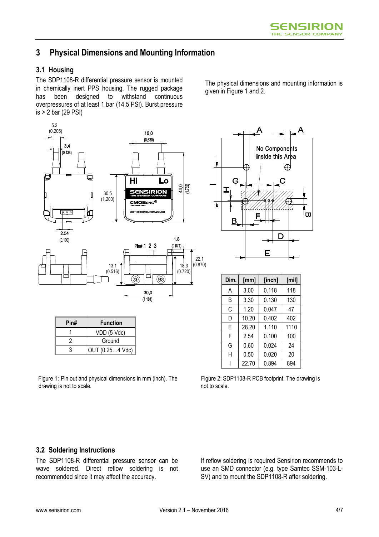## **3 Physical Dimensions and Mounting Information**

### **3.1 Housing**

The SDP1108-R differential pressure sensor is mounted in chemically inert PPS housing. The rugged package has been designed to withstand continuous overpressures of at least 1 bar (14.5 PSI). Burst pressure is > 2 bar (29 PSI)



| Pin# | <b>Function</b> |
|------|-----------------|
|      | VDD (5 Vdc)     |
|      | Ground          |
|      | OUT (0.254 Vdc) |

Figure 1: Pin out and physical dimensions in mm (inch). The drawing is not to scale.

The physical dimensions and mounting information is given in Figure 1 and 2.



| Dim. | [mm]  | [inch] | [min] |
|------|-------|--------|-------|
| А    | 3.00  | 0.118  | 118   |
| B    | 3.30  | 0.130  | 130   |
| C    | 1.20  | 0.047  | 47    |
| D    | 10.20 | 0.402  | 402   |
| E    | 28.20 | 1.110  | 1110  |
| F    | 2.54  | 0.100  | 100   |
| G    | 0.60  | 0.024  | 24    |
| H    | 0.50  | 0.020  | 20    |
|      | 22.70 | 0.894  | 894   |

Figure 2: SDP1108-R PCB footprint. The drawing is not to scale.

### **3.2 Soldering Instructions**

The SDP1108-R differential pressure sensor can be wave soldered. Direct reflow soldering is not recommended since it may affect the accuracy.

If reflow soldering is required Sensirion recommends to use an SMD connector (e.g. type Samtec SSM-103-L-SV) and to mount the SDP1108-R after soldering.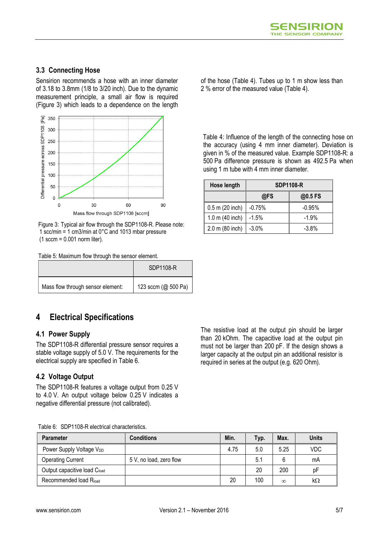### **3.3 Connecting Hose**

Sensirion recommends a hose with an inner diameter of 3.18 to 3.8mm (1/8 to 3/20 inch). Due to the dynamic measurement principle, a small air flow is required (Figure 3) which leads to a dependence on the length



Figure 3: Typical air flow through the SDP1108-R. Please note: 1 scc/min = 1 cm3/min at 0°C and 1013 mbar pressure  $(1$  sccm = 0.001 norm liter).

Table 5: Maximum flow through the sensor element.

|                                   | SDP1108-R           |
|-----------------------------------|---------------------|
| Mass flow through sensor element: | 123 sccm (@ 500 Pa) |

## **4 Electrical Specifications**

### **4.1 Power Supply**

The SDP1108-R differential pressure sensor requires a stable voltage supply of 5.0 V. The requirements for the electrical supply are specified in Table 6.

#### **4.2 Voltage Output**

The SDP1108-R features a voltage output from 0.25 V to 4.0 V. An output voltage below 0.25 V indicates a negative differential pressure (not calibrated).

The resistive load at the output pin should be larger than 20 kOhm. The capacitive load at the output pin must not be larger than 200 pF. If the design shows a larger capacity at the output pin an additional resistor is required in series at the output (e.g. 620 Ohm).

Table 6: SDP1108-R electrical characteristics.

| <b>Parameter</b>                     | <b>Conditions</b>       | Min. | Typ. | Max.     | <b>Units</b> |
|--------------------------------------|-------------------------|------|------|----------|--------------|
| Power Supply Voltage V <sub>DD</sub> |                         | 4.75 | 5.0  | 5.25     | <b>VDC</b>   |
| <b>Operating Current</b>             | 5 V, no load, zero flow |      | 5.1  | 6        | mA           |
| Output capacitive load Cload         |                         |      | 20   | 200      | рF           |
| Recommended load Rload               |                         | 20   | 100  | $\infty$ | kΩ           |

of the hose (Table 4). Tubes up to 1 m show less than 2 % error of the measured value (Table 4).

Table 4: Influence of the length of the connecting hose on the accuracy (using 4 mm inner diameter). Deviation is given in % of the measured value. Example SDP1108-R: a 500 Pa difference pressure is shown as 492.5 Pa when using 1 m tube with 4 mm inner diameter.

| Hose length       | <b>SDP1108-R</b> |          |  |
|-------------------|------------------|----------|--|
|                   | @FS              | @0.5 FS  |  |
| $0.5$ m (20 inch) | $-0.75%$         | $-0.95%$ |  |
| 1.0 m (40 inch)   | $-1.5%$          | $-1.9%$  |  |
| 2.0 m (80 inch)   | $-3.0%$          | $-3.8%$  |  |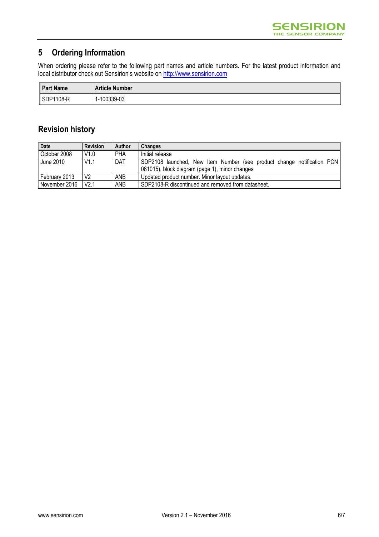## **5 Ordering Information**

When ordering please refer to the following part names and article numbers. For the latest product information and local distributor check out Sensirion's website on http://www.sensirion.com

| <b>Part Name</b> | <b>Article Number</b> |
|------------------|-----------------------|
| SDP1108-R        | 1-100339-03           |

## **Revision history**

| <b>Date</b>   | <b>Revision</b> | Author     | <b>Changes</b>                                                          |  |
|---------------|-----------------|------------|-------------------------------------------------------------------------|--|
| October 2008  | V1.0            | <b>PHA</b> | Initial release                                                         |  |
| June 2010     | V1.1            | <b>DAT</b> | SDP2108 launched, New Item Number (see product change notification PCN) |  |
|               |                 |            | 081015), block diagram (page 1), minor changes                          |  |
| February 2013 | V <sub>2</sub>  | <b>ANB</b> | Updated product number. Minor layout updates.                           |  |
| November 2016 | V2.1            | <b>ANB</b> | SDP2108-R discontinued and removed from datasheet.                      |  |